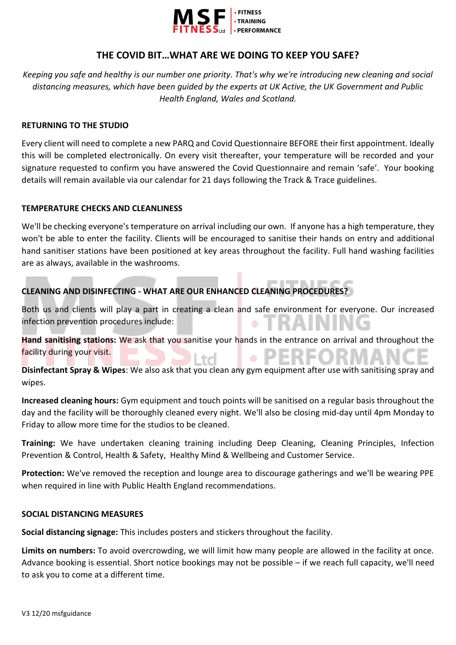

# **THE COVID BIT…WHAT ARE WE DOING TO KEEP YOU SAFE?**

*Keeping you safe and healthy is our number one priority. That's why we're introducing new cleaning and social distancing measures, which have been guided by the experts at UK Active, the UK Government and Public Health England, Wales and Scotland.*

## **RETURNING TO THE STUDIO**

Every client will need to complete a new PARQ and Covid Questionnaire BEFORE their first appointment. Ideally this will be completed electronically. On every visit thereafter, your temperature will be recorded and your signature requested to confirm you have answered the Covid Questionnaire and remain 'safe'. Your booking details will remain available via our calendar for 21 days following the Track & Trace guidelines.

## **TEMPERATURE CHECKS AND CLEANLINESS**

We'll be checking everyone's temperature on arrival including our own. If anyone has a high temperature, they won't be able to enter the facility. Clients will be encouraged to sanitise their hands on entry and additional hand sanitiser stations have been positioned at key areas throughout the facility. Full hand washing facilities are as always, available in the washrooms.

# **CLEANING AND DISINFECTING - WHAT ARE OUR ENHANCED CLEANING PROCEDURES?**

Both us and clients will play a part in creating a clean and safe environment for everyone. Our increased infection prevention procedures include: ۰

**Hand sanitising stations:** We ask that you sanitise your hands in the entrance on arrival and throughout the facility during your visit. ۰

**Disinfectant Spray & Wipes**: We also ask that you clean any gym equipment after use with sanitising spray and wipes.

**Increased cleaning hours:** Gym equipment and touch points will be sanitised on a regular basis throughout the day and the facility will be thoroughly cleaned every night. We'll also be closing mid-day until 4pm Monday to Friday to allow more time for the studios to be cleaned.

**Training:** We have undertaken cleaning training including Deep Cleaning, Cleaning Principles, Infection Prevention & Control, Health & Safety, Healthy Mind & Wellbeing and Customer Service.

**Protection:** We've removed the reception and lounge area to discourage gatherings and we'll be wearing PPE when required in line with Public Health England recommendations.

### **SOCIAL DISTANCING MEASURES**

**Social distancing signage:** This includes posters and stickers throughout the facility.

**Limits on numbers:** To avoid overcrowding, we will limit how many people are allowed in the facility at once. Advance booking is essential. Short notice bookings may not be possible – if we reach full capacity, we'll need to ask you to come at a different time.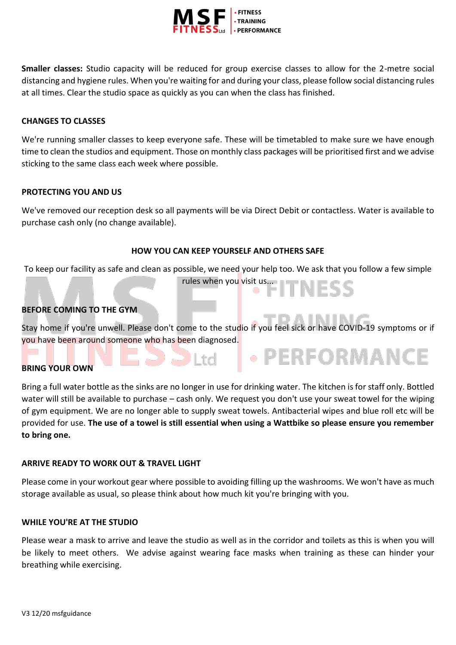

**Smaller classes:** Studio capacity will be reduced for group exercise classes to allow for the 2-metre social distancing and hygiene rules. When you're waiting for and during your class, please follow social distancing rules at all times. Clear the studio space as quickly as you can when the class has finished.

# **CHANGES TO CLASSES**

We're running smaller classes to keep everyone safe. These will be timetabled to make sure we have enough time to clean the studios and equipment. Those on monthly class packages will be prioritised first and we advise sticking to the same class each week where possible.

# **PROTECTING YOU AND US**

We've removed our reception desk so all payments will be via Direct Debit or contactless. Water is available to purchase cash only (no change available).

## **HOW YOU CAN KEEP YOURSELF AND OTHERS SAFE**

To keep our facility as safe and clean as possible, we need your help too. We ask that you follow a few simple

rules when you visit us...<br>
and the state of the state of the state of the state of the state of the state of the state of the state of the state of the state of the state of the state of the state of the state of the stat

• PERFORMANCE

# **BEFORE COMING TO THE GYM**

Stay home if you're unwell. Please don't come to the studio if you feel sick or have COVID-19 symptoms or if you have been around someone who has been diagnosed.

 $\Box$  I td

# **BRING YOUR OWN**

Bring a full water bottle as the sinks are no longer in use for drinking water. The kitchen is for staff only. Bottled water will still be available to purchase – cash only. We request you don't use your sweat towel for the wiping of gym equipment. We are no longer able to supply sweat towels. Antibacterial wipes and blue roll etc will be provided for use. **The use of a towel is still essential when using a Wattbike so please ensure you remember to bring one.** 

### **ARRIVE READY TO WORK OUT & TRAVEL LIGHT**

Please come in your workout gear where possible to avoiding filling up the washrooms. We won't have as much storage available as usual, so please think about how much kit you're bringing with you.

### **WHILE YOU'RE AT THE STUDIO**

Please wear a mask to arrive and leave the studio as well as in the corridor and toilets as this is when you will be likely to meet others. We advise against wearing face masks when training as these can hinder your breathing while exercising.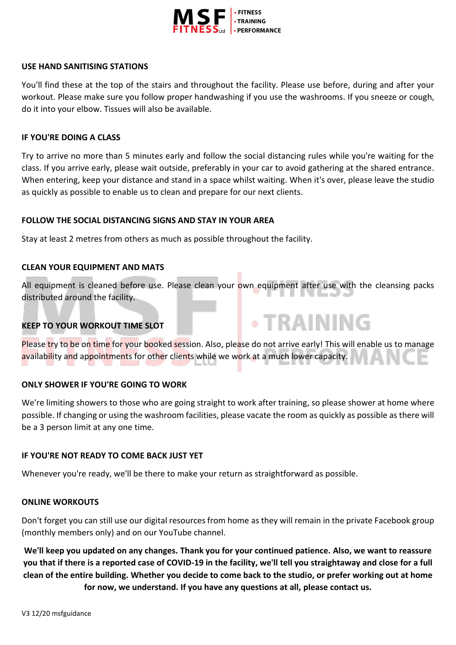

### **USE HAND SANITISING STATIONS**

You'll find these at the top of the stairs and throughout the facility. Please use before, during and after your workout. Please make sure you follow proper handwashing if you use the washrooms. If you sneeze or cough, do it into your elbow. Tissues will also be available.

## **IF YOU'RE DOING A CLASS**

Try to arrive no more than 5 minutes early and follow the social distancing rules while you're waiting for the class. If you arrive early, please wait outside, preferably in your car to avoid gathering at the shared entrance. When entering, keep your distance and stand in a space whilst waiting. When it's over, please leave the studio as quickly as possible to enable us to clean and prepare for our next clients.

## **FOLLOW THE SOCIAL DISTANCING SIGNS AND STAY IN YOUR AREA**

Stay at least 2 metres from others as much as possible throughout the facility.

# **CLEAN YOUR EQUIPMENT AND MATS**

All equipment is cleaned before use. Please clean your own equipment after use with the cleansing packs distributed around the facility.

**. TRAINING** 

# **KEEP TO YOUR WORKOUT TIME SLOT**

Please try to be on time for your booked session. Also, please do not arrive early! This will enable us to manage availability and appointments for other clients while we work at a much lower capacity.

# **ONLY SHOWER IF YOU'RE GOING TO WORK**

We're limiting showers to those who are going straight to work after training, so please shower at home where possible. If changing or using the washroom facilities, please vacate the room as quickly as possible as there will be a 3 person limit at any one time.

### **IF YOU'RE NOT READY TO COME BACK JUST YET**

Whenever you're ready, we'll be there to make your return as straightforward as possible.

### **ONLINE WORKOUTS**

Don't forget you can still use our digital resources from home as they will remain in the private Facebook group (monthly members only) and on our YouTube channel.

**We'll keep you updated on any changes. Thank you for your continued patience. Also, we want to reassure you that if there is a reported case of COVID-19 in the facility, we'll tell you straightaway and close for a full clean of the entire building. Whether you decide to come back to the studio, or prefer working out at home for now, we understand. If you have any questions at all, please contact us.**